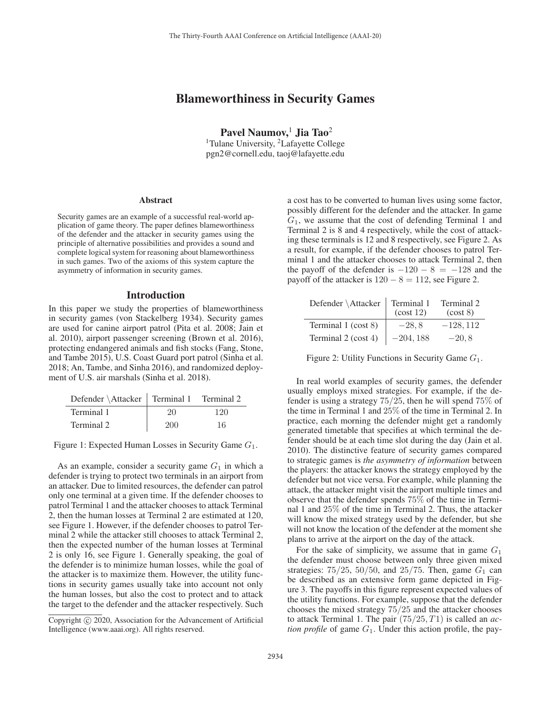# Blameworthiness in Security Games

Pavel Naumov, $1$  Jia Tao<sup>2</sup> <sup>1</sup>Tulane University, <sup>2</sup>Lafayette College pgn2@cornell.edu, taoj@lafayette.edu

#### Abstract

Security games are an example of a successful real-world application of game theory. The paper defines blameworthiness of the defender and the attacker in security games using the principle of alternative possibilities and provides a sound and complete logical system for reasoning about blameworthiness in such games. Two of the axioms of this system capture the asymmetry of information in security games.

#### Introduction

In this paper we study the properties of blameworthiness in security games (von Stackelberg 1934). Security games are used for canine airport patrol (Pita et al. 2008; Jain et al. 2010), airport passenger screening (Brown et al. 2016), protecting endangered animals and fish stocks (Fang, Stone, and Tambe 2015), U.S. Coast Guard port patrol (Sinha et al. 2018; An, Tambe, and Sinha 2016), and randomized deployment of U.S. air marshals (Sinha et al. 2018).

| Defender \Attacker   Terminal 1 Terminal 2 |     |     |
|--------------------------------------------|-----|-----|
| Terminal 1                                 | 20  | 120 |
| Terminal 2                                 | 200 | 16  |

Figure 1: Expected Human Losses in Security Game  $G_1$ .

As an example, consider a security game  $G_1$  in which a defender is trying to protect two terminals in an airport from an attacker. Due to limited resources, the defender can patrol only one terminal at a given time. If the defender chooses to patrol Terminal 1 and the attacker chooses to attack Terminal 2, then the human losses at Terminal 2 are estimated at 120, see Figure 1. However, if the defender chooses to patrol Terminal 2 while the attacker still chooses to attack Terminal 2, then the expected number of the human losses at Terminal 2 is only 16, see Figure 1. Generally speaking, the goal of the defender is to minimize human losses, while the goal of the attacker is to maximize them. However, the utility functions in security games usually take into account not only the human losses, but also the cost to protect and to attack the target to the defender and the attacker respectively. Such

a cost has to be converted to human lives using some factor, possibly different for the defender and the attacker. In game  $G_1$ , we assume that the cost of defending Terminal 1 and Terminal 2 is 8 and 4 respectively, while the cost of attacking these terminals is 12 and 8 respectively, see Figure 2. As a result, for example, if the defender chooses to patrol Terminal 1 and the attacker chooses to attack Terminal 2, then the payoff of the defender is  $-120 - 8 = -128$  and the payoff of the attacker is  $120 - 8 = 112$ , see Figure 2.

| Defender \Attacker  | Terminal 1<br>(cost 12) | Terminal 2<br>(cost 8) |
|---------------------|-------------------------|------------------------|
| Terminal 1 (cost 8) | $-28.8$                 | $-128.112$             |
| Terminal 2 (cost 4) | $-204,188$              | $-20.8$                |

Figure 2: Utility Functions in Security Game  $G_1$ .

In real world examples of security games, the defender usually employs mixed strategies. For example, if the defender is using a strategy 75/25, then he will spend 75% of the time in Terminal 1 and 25% of the time in Terminal 2. In practice, each morning the defender might get a randomly generated timetable that specifies at which terminal the defender should be at each time slot during the day (Jain et al. 2010). The distinctive feature of security games compared to strategic games is *the asymmetry of information* between the players: the attacker knows the strategy employed by the defender but not vice versa. For example, while planning the attack, the attacker might visit the airport multiple times and observe that the defender spends 75% of the time in Terminal 1 and 25% of the time in Terminal 2. Thus, the attacker will know the mixed strategy used by the defender, but she will not know the location of the defender at the moment she plans to arrive at the airport on the day of the attack.

For the sake of simplicity, we assume that in game  $G_1$ the defender must choose between only three given mixed strategies:  $75/25$ ,  $50/50$ , and  $25/75$ . Then, game  $G_1$  can be described as an extensive form game depicted in Figure 3. The payoffs in this figure represent expected values of the utility functions. For example, suppose that the defender chooses the mixed strategy 75/25 and the attacker chooses to attack Terminal 1. The pair (75/25, T1) is called an *action profile* of game  $G_1$ . Under this action profile, the pay-

Copyright  $\odot$  2020, Association for the Advancement of Artificial Intelligence (www.aaai.org). All rights reserved.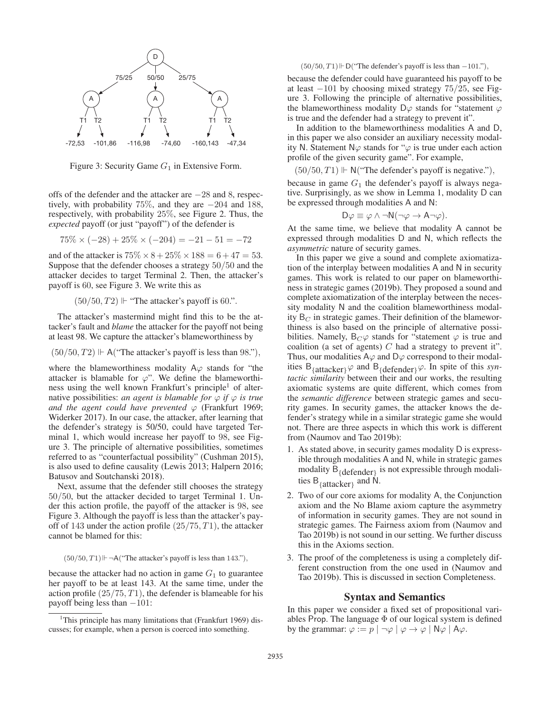

Figure 3: Security Game  $G_1$  in Extensive Form.

offs of the defender and the attacker are −28 and 8, respectively, with probability 75%, and they are −204 and 188, respectively, with probability 25%, see Figure 2. Thus, the *expected* payoff (or just "payoff") of the defender is

$$
75\% \times (-28) + 25\% \times (-204) = -21 - 51 = -72
$$

and of the attacker is  $75\% \times 8 + 25\% \times 188 = 6 + 47 = 53$ . Suppose that the defender chooses a strategy 50/50 and the attacker decides to target Terminal 2. Then, the attacker's payoff is 60, see Figure 3. We write this as

 $(50/50, T2)$   $\mathrel{\Vdash}$  "The attacker's payoff is 60.".

The attacker's mastermind might find this to be the attacker's fault and *blame* the attacker for the payoff not being at least 98. We capture the attacker's blameworthiness by

 $(50/50, T2) \Vdash$  A("The attacker's payoff is less than 98."),

where the blameworthiness modality  $A\varphi$  stands for "the attacker is blamable for  $\varphi$ ". We define the blameworthiness using the well known Frankfurt's principle<sup>1</sup> of alternative possibilities: *an agent is blamable for*  $\varphi$  *if*  $\varphi$  *is true and the agent could have prevented*  $\varphi$  (Frankfurt 1969; Widerker 2017). In our case, the attacker, after learning that the defender's strategy is 50/50, could have targeted Terminal 1, which would increase her payoff to 98, see Figure 3. The principle of alternative possibilities, sometimes referred to as "counterfactual possibility" (Cushman 2015), is also used to define causality (Lewis 2013; Halpern 2016; Batusov and Soutchanski 2018).

Next, assume that the defender still chooses the strategy 50/50, but the attacker decided to target Terminal 1. Under this action profile, the payoff of the attacker is 98, see Figure 3. Although the payoff is less than the attacker's payoff of 143 under the action profile  $(25/75, T1)$ , the attacker cannot be blamed for this:

 $(50/50, T1) \Vdash \neg A$  ("The attacker's payoff is less than 143."),

because the attacker had no action in game  $G_1$  to guarantee her payoff to be at least 143. At the same time, under the action profile  $(25/75, T1)$ , the defender is blameable for his payoff being less than  $-101$ :

## $(50/50, T1) \Vdash D("The defender's payoff is less than  $-101."$ ),$

because the defender could have guaranteed his payoff to be at least −101 by choosing mixed strategy 75/25, see Figure 3. Following the principle of alternative possibilities, the blameworthiness modality D $\varphi$  stands for "statement  $\varphi$ is true and the defender had a strategy to prevent it".

In addition to the blameworthiness modalities A and D, in this paper we also consider an auxiliary necessity modality N. Statement N $\varphi$  stands for " $\varphi$  is true under each action profile of the given security game". For example,

 $(50/50, T1) \Vdash N("The defender's payoff is negative.")$ 

because in game  $G_1$  the defender's payoff is always negative. Surprisingly, as we show in Lemma 1, modality D can be expressed through modalities A and N:

$$
D\varphi \equiv \varphi \wedge \neg N(\neg \varphi \to A \neg \varphi).
$$

At the same time, we believe that modality A cannot be expressed through modalities D and N, which reflects the *asymmetric* nature of security games.

In this paper we give a sound and complete axiomatization of the interplay between modalities A and N in security games. This work is related to our paper on blameworthiness in strategic games (2019b). They proposed a sound and complete axiomatization of the interplay between the necessity modality N and the coalition blameworthiness modality  $B_C$  in strategic games. Their definition of the blameworthiness is also based on the principle of alternative possibilities. Namely,  $B_C \varphi$  stands for "statement  $\varphi$  is true and coalition (a set of agents)  $C$  had a strategy to prevent it". Thus, our modalities A $\varphi$  and D $\varphi$  correspond to their modalities  $B_{\{\text{attacker}\}}\varphi$  and  $B_{\{\text{defender}\}}\varphi$ . In spite of this *syntactic similarity* between their and our works, the resulting axiomatic systems are quite different, which comes from the *semantic difference* between strategic games and security games. In security games, the attacker knows the defender's strategy while in a similar strategic game she would not. There are three aspects in which this work is different from (Naumov and Tao 2019b):

- 1. As stated above, in security games modality D is expressible through modalities A and N, while in strategic games modality  $\overline{B}_{\{\text{defender}\}}$  is not expressible through modalities  $B_{\{\text{attacker}\}}$  and N.
- 2. Two of our core axioms for modality A, the Conjunction axiom and the No Blame axiom capture the asymmetry of information in security games. They are not sound in strategic games. The Fairness axiom from (Naumov and Tao 2019b) is not sound in our setting. We further discuss this in the Axioms section.
- 3. The proof of the completeness is using a completely different construction from the one used in (Naumov and Tao 2019b). This is discussed in section Completeness.

## Syntax and Semantics

In this paper we consider a fixed set of propositional variables Prop. The language  $\Phi$  of our logical system is defined by the grammar:  $\varphi := p \mid \neg \varphi \mid \varphi \rightarrow \varphi \mid N \varphi \mid A \varphi$ .

<sup>&</sup>lt;sup>1</sup>This principle has many limitations that (Frankfurt 1969) discusses; for example, when a person is coerced into something.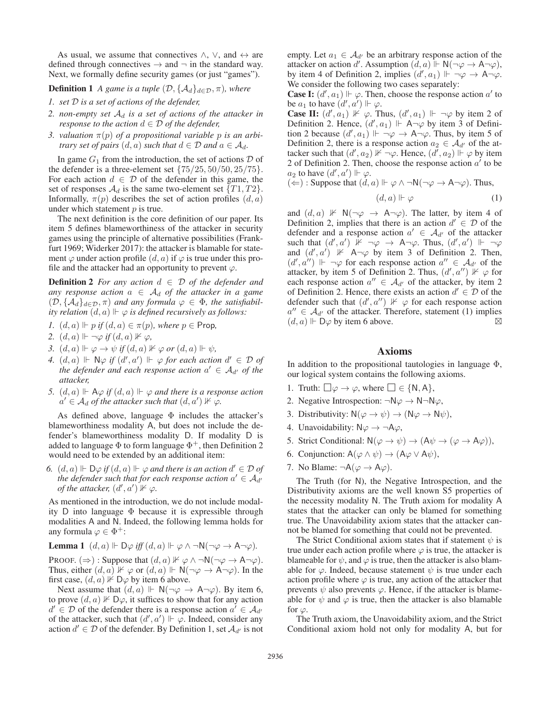As usual, we assume that connectives  $\land$ ,  $\lor$ , and  $\leftrightarrow$  are defined through connectives  $\rightarrow$  and  $\neg$  in the standard way. Next, we formally define security games (or just "games").

# **Definition 1** *A game is a tuple*  $(\mathcal{D}, \{A_d\}_{d \in \mathcal{D}}, \pi)$ *, where*

- *1. set* D *is a set of actions of the defender,*
- *2. non-empty set* A<sup>d</sup> *is a set of actions of the attacker in response to the action*  $d \in \mathcal{D}$  *of the defender,*
- *3. valuation*  $\pi(p)$  *of a propositional variable p is an arbitrary set of pairs*  $(d, a)$  *such that*  $d \in \mathcal{D}$  *and*  $a \in \mathcal{A}_d$ *.*

In game  $G_1$  from the introduction, the set of actions  $D$  of the defender is a three-element set  $\{75/25, 50/50, 25/75\}.$ For each action  $d \in \mathcal{D}$  of the defender in this game, the set of responses  $\mathcal{A}_d$  is the same two-element set  $\{T1, T2\}$ . Informally,  $\pi(p)$  describes the set of action profiles  $(d, a)$ under which statement  $p$  is true.

The next definition is the core definition of our paper. Its item 5 defines blameworthiness of the attacker in security games using the principle of alternative possibilities (Frankfurt 1969; Widerker 2017): the attacker is blamable for statement  $\varphi$  under action profile  $(d, a)$  if  $\varphi$  is true under this profile and the attacker had an opportunity to prevent  $\varphi$ .

**Definition 2** *For any action*  $d \in \mathcal{D}$  *of the defender and any response action*  $a \in A_d$  *of the attacker in a game*  $(D, \{A_d\}_{d \in \mathcal{D}}, \pi)$  *and any formula*  $\varphi \in \Phi$ *, the satisfiabil*ity relation  $(d, a) \Vdash \varphi$  is defined recursively as follows:

- *1.*  $(d, a) \Vdash p$  *if*  $(d, a) \in \pi(p)$ *, where*  $p \in$  Prop*,*
- 2.  $(d, a) \Vdash \neg \varphi \text{ if } (d, a) \nvDash \varphi,$
- *3.*  $(d, a) \Vdash \varphi \to \psi$  *if*  $(d, a) \nvDash \varphi$  *or*  $(d, a) \Vdash \psi$ ,
- *4.*  $(d, a) \Vdash \mathbb{N} \varphi$  *if*  $(d', a') \Vdash \varphi$  *for each action*  $d' \in \mathcal{D}$  *of the defender and each response action*  $a' \in A_{d'}$  of the *attacker,*
- 5.  $(d, a) \Vdash \mathsf{A} \varphi$  *if*  $(d, a) \Vdash \varphi$  *and there is a response action*  $a' \in \mathcal{A}_d$  of the attacker such that  $(d, a') \nVdash \varphi$ .

As defined above, language  $\Phi$  includes the attacker's blameworthiness modality A, but does not include the defender's blameworthiness modality D. If modality D is added to language  $\Phi$  to form language  $\Phi^+$ , then Definition 2 would need to be extended by an additional item:

*6.*  $(d, a)$   $\vdash$   $\mathsf{D}\varphi$  *if*  $(d, a)$   $\vdash \varphi$  *and there is an action*  $d' \in \mathcal{D}$  *of the defender such that for each response action*  $a' \in A_{d'}$ *of the attacker,*  $(d', a')$   $\nvdash \varphi$ .

As mentioned in the introduction, we do not include modality D into language Φ because it is expressible through modalities A and N. Indeed, the following lemma holds for any formula  $\varphi \in \Phi^+$ :

**Lemma 1** 
$$
(d, a) \Vdash \mathsf{D}\varphi
$$
 iff  $(d, a) \Vdash \varphi \land \neg \mathsf{N}(\neg \varphi \to \mathsf{A} \neg \varphi)$ .

PROOF.  $(\Rightarrow)$ : Suppose that  $(d, a)$   $\nvdash \varphi \land \neg \mathsf{N}(\neg \varphi \to \mathsf{A} \neg \varphi)$ . Thus, either  $(d, a) \not\Vdash \varphi$  or  $(d, a) \not\Vdash \mathsf{N}(\neg \varphi \to \mathsf{A} \neg \varphi)$ . In the first case,  $(d, a)$   $\nvdash$  D $\varphi$  by item 6 above.

Next assume that  $(d, a) \Vdash N(\neg \varphi \to A \neg \varphi)$ . By item 6, to prove  $(d, a) \nVdash D\varphi$ , it suffices to show that for any action  $d' \in \mathcal{D}$  of the defender there is a response action  $a' \in \mathcal{A}_{d'}$ of the attacker, such that  $(d', a') \Vdash \varphi$ . Indeed, consider any action  $d' \in \mathcal{D}$  of the defender. By Definition 1, set  $\mathcal{A}_{d'}$  is not

empty. Let  $a_1 \in \mathcal{A}_{d'}$  be an arbitrary response action of the attacker on action d'. Assumption  $(d, a) \Vdash N(\neg \varphi \to A \neg \varphi)$ , by item 4 of Definition 2, implies  $(d', a_1) \Vdash \neg \varphi \rightarrow A \neg \varphi$ . We consider the following two cases separately:

**Case I:**  $(d', a_1) \Vdash \varphi$ . Then, choose the response action a' to be  $a_1$  to have  $(d', a') \Vdash \varphi$ .

**Case II:**  $(d', a_1) \nvDash \varphi$ . Thus,  $(d', a_1) \Vdash \neg \varphi$  by item 2 of Definition 2. Hence,  $(d', a_1)$   $\Vdash$   $\overrightarrow{A} \neg \varphi$  by item 3 of Definition 2 because  $(d', a_1) \Vdash \neg \varphi \to A \neg \varphi$ . Thus, by item 5 of Definition 2, there is a response action  $a_2 \in \mathcal{A}_{d'}$  of the attacker such that  $(d', a_2)$   $\nvdash \neg \varphi$ . Hence,  $(d', a_2)$   $\nvdash \varphi$  by item 2 of Definition 2. Then, choose the response action  $a'$  to be  $a_2$  to have  $(d', a') \Vdash \varphi$ .

(⇒): Suppose that 
$$
(d, a) \Vdash \varphi \land \neg \mathsf{N}(\neg \varphi \to \mathsf{A} \neg \varphi)
$$
. Thus,

$$
(d,a) \Vdash \varphi \tag{1}
$$

and  $(d, a) \nvDash N(\neg \varphi \rightarrow A \neg \varphi)$ . The latter, by item 4 of Definition 2, implies that there is an action  $d' \in \mathcal{D}$  of the defender and a response action  $a' \in A_{d'}$  of the attacker such that  $(d', a') \not\Vdash \neg \varphi \rightarrow A \neg \varphi$ . Thus,  $(d', a') \Vdash \neg \varphi$ and  $(d', a')$   $\nvDash$  A $\neg \varphi$  by item 3 of Definition 2. Then,  $(d', a'')$   $\Vdash \neg \varphi$  for each response action  $a'' \in \mathcal{A}_{d'}$  of the attacker, by item 5 of Definition 2. Thus,  $(d', a'') \times \varphi$  for each response action  $a'' \in A_{d'}$  of the attacker, by item 2 of Definition 2. Hence, there exists an action  $d' \in \mathcal{D}$  of the defender such that  $(d', a'') \nVdash \varphi$  for each response action  $a'' \in A_{d'}$  of the attacker. Therefore, statement (1) implies  $(d, a) \Vdash \mathbf{D}\varphi$  by item 6 above.

#### Axioms

In addition to the propositional tautologies in language  $\Phi$ , our logical system contains the following axioms.

- 1. Truth:  $\Box \varphi \rightarrow \varphi$ , where  $\Box \in \{N, A\},\$
- 2. Negative Introspection:  $\neg N\varphi \rightarrow N\neg N\varphi$ ,
- 3. Distributivity:  $N(\varphi \to \psi) \to (N\varphi \to N\psi)$ ,
- 4. Unavoidability:  $N\varphi \rightarrow \neg A\varphi$ ,
- 5. Strict Conditional:  $N(\varphi \to \psi) \to (A\psi \to (\varphi \to A\varphi)),$
- 6. Conjunction:  $A(\varphi \land \psi) \rightarrow (A\varphi \lor A\psi)$ ,
- 7. No Blame:  $\neg A(\varphi \rightarrow A\varphi)$ .

The Truth (for N), the Negative Introspection, and the Distributivity axioms are the well known S5 properties of the necessity modality N. The Truth axiom for modality A states that the attacker can only be blamed for something true. The Unavoidability axiom states that the attacker cannot be blamed for something that could not be prevented.

The Strict Conditional axiom states that if statement  $\psi$  is true under each action profile where  $\varphi$  is true, the attacker is blameable for  $\psi$ , and  $\varphi$  is true, then the attacker is also blamable for  $\varphi$ . Indeed, because statement  $\psi$  is true under each action profile where  $\varphi$  is true, any action of the attacker that prevents  $\psi$  also prevents  $\varphi$ . Hence, if the attacker is blameable for  $\psi$  and  $\varphi$  is true, then the attacker is also blamable for  $\varphi$ .

The Truth axiom, the Unavoidability axiom, and the Strict Conditional axiom hold not only for modality A, but for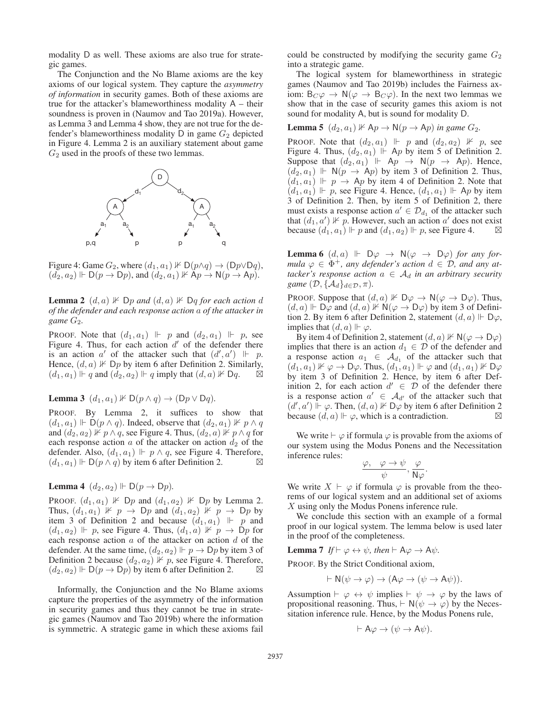modality D as well. These axioms are also true for strategic games.

The Conjunction and the No Blame axioms are the key axioms of our logical system. They capture the *asymmetry of information* in security games. Both of these axioms are true for the attacker's blameworthiness modality  $A -$  their soundness is proven in (Naumov and Tao 2019a). However, as Lemma 3 and Lemma 4 show, they are not true for the defender's blameworthiness modality  $D$  in game  $G_2$  depicted in Figure 4. Lemma 2 is an auxiliary statement about game  $G_2$  used in the proofs of these two lemmas.



Figure 4: Game  $G_2$ , where  $(d_1, a_1)$   $\nvdash D(p \land q) \rightarrow (Dp \lor Dq)$ ,  $(d_2, a_2) \Vdash D(p \to Dp)$ , and  $(d_2, a_1) \nvDash \mathsf{A}p \to \mathsf{N}(p \to \mathsf{A}p)$ .

**Lemma 2**  $(d, a)$   $\nVdash$   $Dp$  and  $(d, a)$   $\nVdash$   $Dq$  *for each action*  $d$ *of the defender and each response action* a *of the attacker in game* G2*.*

**PROOF.** Note that  $(d_1, a_1) \Vdash p$  and  $(d_2, a_1) \Vdash p$ , see Figure 4. Thus, for each action  $d'$  of the defender there is an action  $a'$  of the attacker such that  $(d', a') \Vdash p$ . Hence,  $(d, a) \nVdash \mathsf{D}p$  by item 6 after Definition 2. Similarly,  $(d_1, a_1) \Vdash q$  and  $(d_2, a_2) \Vdash q$  imply that  $(d, a) \nvDash \mathsf{D}q$ .

**Lemma 3**  $(d_1, a_1) \nVdash D(p \wedge q) \rightarrow (Dp \vee Dq)$ .

PROOF. By Lemma 2, it suffices to show that  $(d_1, a_1) \Vdash \dot{D}(p \wedge q)$ . Indeed, observe that  $(d_2, a_1) \nvDash p \wedge q$ and  $(d_2, a_2)$   $\nparallel p \wedge q$ , see Figure 4. Thus,  $(d_2, a)$   $\nparallel p \wedge q$  for each response action  $a$  of the attacker on action  $d_2$  of the defender. Also,  $(d_1, a_1) \Vdash p \wedge q$ , see Figure 4. Therefore,  $(d_1, a_1) \Vdash D(p \wedge q)$  by item 6 after Definition 2.

# **Lemma 4**  $(d_2, a_2) \Vdash D(p \rightarrow Dp)$ .

PROOF.  $(d_1, a_1) \nVdash \mathsf{D}p$  and  $(d_1, a_2) \nVdash \mathsf{D}p$  by Lemma 2. Thus,  $(d_1, a_1) \not\perp p \rightarrow \Box p$  and  $(d_1, a_2) \not\perp p \rightarrow \Box p$  by item 3 of Definition 2 and because  $(d_1, a_1)$   $\parallel$   $p$  and  $(d_1, a_2) \Vdash p$ , see Figure 4. Thus,  $(d_1, a) \nvDash p \rightarrow \text{D}p$  for each response action  $a$  of the attacker on action  $d$  of the defender. At the same time,  $(d_2, a_2) \Vdash p \to \textsf{D}p$  by item 3 of Definition 2 because  $(d_2, a_2) \nVdash p$ , see Figure 4. Therefore,  $(d_2, a_2) \Vdash D(p \to Dp)$  by item 6 after Definition 2.

Informally, the Conjunction and the No Blame axioms capture the properties of the asymmetry of the information in security games and thus they cannot be true in strategic games (Naumov and Tao 2019b) where the information is symmetric. A strategic game in which these axioms fail

could be constructed by modifying the security game  $G_2$ into a strategic game.

The logical system for blameworthiness in strategic games (Naumov and Tao 2019b) includes the Fairness axiom:  $B_C \varphi \to N(\varphi \to B_C \varphi)$ . In the next two lemmas we show that in the case of security games this axiom is not sound for modality A, but is sound for modality D.

**Lemma 5** 
$$
(d_2, a_1) \nVdash \mathsf{A} p \to \mathsf{N}(p \to \mathsf{A} p)
$$
 in game  $G_2$ .

**PROOF.** Note that  $(d_2, a_1)$   $\Vdash p$  and  $(d_2, a_2)$   $\Vdash p$ , see Figure 4. Thus,  $(d_2, a_1)$   $\Vdash$  Ap by item 5 of Definition 2. Suppose that  $(d_2, a_1)$   $\mapsto$   $Ap \rightarrow N(p \rightarrow Ap)$ . Hence,  $(d_2, a_1) \Vdash N(p \rightarrow Ap)$  by item 3 of Definition 2. Thus,  $(d_1, a_1) \Vdash p \rightarrow Ap$  by item 4 of Definition 2. Note that  $(d_1, a_1) \Vdash p$ , see Figure 4. Hence,  $(d_1, a_1) \Vdash Ap$  by item 3 of Definition 2. Then, by item 5 of Definition 2, there must exists a response action  $a' \in \mathcal{D}_{d_1}$  of the attacker such that  $(d_1, a') \nVdash p$ . However, such an action a' does not exist because  $(d_1, a_1) \Vdash p$  and  $(d_1, a_2) \Vdash p$ , see Figure 4.  $\Box$ 

**Lemma 6**  $(d, a) \Vdash \mathsf{D}\varphi \rightarrow \mathsf{N}(\varphi \rightarrow \mathsf{D}\varphi)$  *for any formula*  $\varphi \in \Phi^+$ , any defender's action  $d \in \mathcal{D}$ , and any at*tacker's response action*  $a \in A_d$  *in an arbitrary security game*  $(D, \{A_d\}_{d \in \mathcal{D}}, \pi)$ .

PROOF. Suppose that  $(d, a)$   $\nVdash D\varphi \rightarrow N(\varphi \rightarrow D\varphi)$ . Thus,  $(d, a) \Vdash \overrightarrow{D\varphi}$  and  $(d, a) \nvDash \mathsf{N}(\varphi \to \mathsf{D}\varphi)$  by item 3 of Definition 2. By item 6 after Definition 2, statement  $(d, a) \Vdash D\varphi$ , implies that  $(d, a) \Vdash \varphi$ .

By item 4 of Definition 2, statement  $(d, a) \nVdash N(\varphi \to D\varphi)$ implies that there is an action  $d_1 \in \mathcal{D}$  of the defender and a response action  $a_1 \in \mathcal{A}_{d_1}$  of the attacker such that  $(d_1, a_1) \nVdash \varphi \to \mathsf{D}\varphi$ . Thus,  $(d_1, a_1) \Vdash \varphi$  and  $(d_1, a_1) \nvDash \mathsf{D}\varphi$ by item 3 of Definition 2. Hence, by item 6 after Definition 2, for each action  $d' \in \mathcal{D}$  of the defender there is a response action  $a' \in \mathcal{A}_{d'}$  of the attacker such that  $(d', a') \rightharpoonup \varphi$ . Then,  $(d, a) \nvDash D\varphi$  by item 6 after Definition 2 because  $(d, a) \Vdash \varphi$ , which is a contradiction.

We write  $\vdash \varphi$  if formula  $\varphi$  is provable from the axioms of our system using the Modus Ponens and the Necessitation inference rules:

$$
\frac{\varphi, \quad \varphi \to \psi}{\psi}, \frac{\varphi}{\mathsf{N} \varphi}.
$$

We write  $X \vdash \varphi$  if formula  $\varphi$  is provable from the theorems of our logical system and an additional set of axioms X using only the Modus Ponens inference rule.

We conclude this section with an example of a formal proof in our logical system. The lemma below is used later in the proof of the completeness.

**Lemma 7** If  $\vdash \varphi \leftrightarrow \psi$ , then  $\vdash A\varphi \rightarrow A\psi$ .

PROOF. By the Strict Conditional axiom,

$$
\vdash \mathsf{N}(\psi \to \varphi) \to (\mathsf{A}\varphi \to (\psi \to \mathsf{A}\psi)).
$$

Assumption  $\vdash \varphi \leftrightarrow \psi$  implies  $\vdash \psi \rightarrow \varphi$  by the laws of propositional reasoning. Thus,  $\vdash N(\psi \rightarrow \varphi)$  by the Necessitation inference rule. Hence, by the Modus Ponens rule,

$$
\vdash \mathsf{A}\varphi \to (\psi \to \mathsf{A}\psi).
$$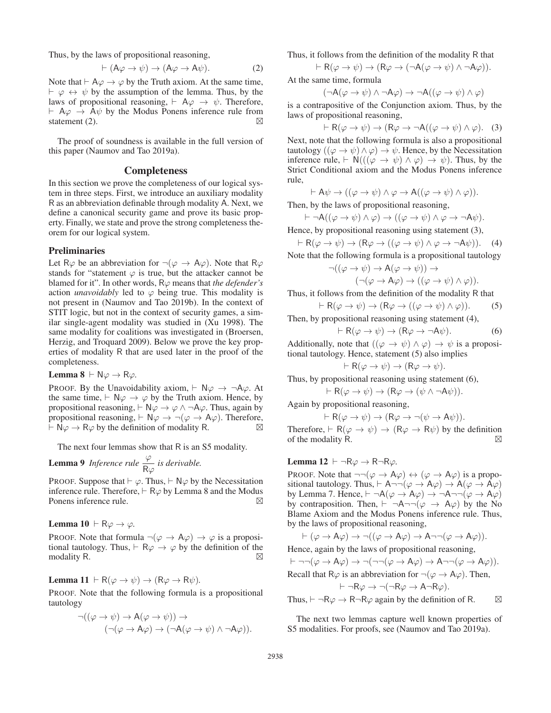Thus, by the laws of propositional reasoning,

$$
\vdash (\mathsf{A}\varphi \to \psi) \to (\mathsf{A}\varphi \to \mathsf{A}\psi). \tag{2}
$$

Note that  $\vdash A\varphi \rightarrow \varphi$  by the Truth axiom. At the same time,  $\vdash \varphi \leftrightarrow \psi$  by the assumption of the lemma. Thus, by the laws of propositional reasoning,  $\vdash$  A $\varphi \rightarrow \psi$ . Therefore,  $\vdash$  A $\varphi$   $\rightarrow$  A $\psi$  by the Modus Ponens inference rule from statement (2).  $\boxtimes$ 

The proof of soundness is available in the full version of this paper (Naumov and Tao 2019a).

#### Completeness

In this section we prove the completeness of our logical system in three steps. First, we introduce an auxiliary modality R as an abbreviation definable through modality A. Next, we define a canonical security game and prove its basic property. Finally, we state and prove the strong completeness theorem for our logical system.

#### Preliminaries

Let R $\varphi$  be an abbreviation for  $\neg(\varphi \rightarrow A\varphi)$ . Note that R $\varphi$ stands for "statement  $\varphi$  is true, but the attacker cannot be blamed for it". In other words, Rϕ means that *the defender's* action *unavoidably* led to  $\varphi$  being true. This modality is not present in (Naumov and Tao 2019b). In the context of STIT logic, but not in the context of security games, a similar single-agent modality was studied in (Xu 1998). The same modality for coalitions was investigated in (Broersen, Herzig, and Troquard 2009). Below we prove the key properties of modality R that are used later in the proof of the completeness.

**Lemma 8**  $\vdash N\varphi \rightarrow R\varphi$ .

PROOF. By the Unavoidability axiom,  $\vdash N\varphi \rightarrow \neg A\varphi$ . At the same time,  $\vdash N\varphi \rightarrow \varphi$  by the Truth axiom. Hence, by propositional reasoning,  $\vdash N\varphi \rightarrow \varphi \land \neg A\varphi$ . Thus, again by propositional reasoning,  $\vdash N\varphi \rightarrow \neg(\varphi \rightarrow A\varphi)$ . Therefore,  $\overline{\mathsf{H}} \cdot \mathsf{N} \varphi \to \mathsf{R} \varphi$  by the definition of modality R.  $\Box$ 

The next four lemmas show that R is an S5 modality.

**Lemma 9** *Inference rule*  $\frac{\varphi}{R\varphi}$  *is derivable.* 

PROOF. Suppose that  $\vdash \varphi$ . Thus,  $\vdash \mathsf{N}\varphi$  by the Necessitation inference rule. Therefore,  $\vdash R\varphi$  by Lemma 8 and the Modus Ponens inference rule. ⊠

**Lemma 10**  $\vdash$  R $\varphi \rightarrow \varphi$ .

PROOF. Note that formula  $\neg(\varphi \rightarrow A\varphi) \rightarrow \varphi$  is a propositional tautology. Thus,  $\vdash R\varphi \rightarrow \varphi$  by the definition of the modality R.  $\boxtimes$ 

**Lemma 11** 
$$
\vdash R(\varphi \to \psi) \to (R\varphi \to R\psi).
$$

PROOF. Note that the following formula is a propositional tautology

$$
\neg((\varphi \to \psi) \to A(\varphi \to \psi)) \to \\
(\neg(\varphi \to A\varphi) \to (\neg A(\varphi \to \psi) \land \neg A\varphi)).
$$

Thus, it follows from the definition of the modality R that

$$
\vdash R(\varphi \to \psi) \to (R\varphi \to (\neg A(\varphi \to \psi) \land \neg A\varphi)).
$$

At the same time, formula

$$
(\neg \mathsf{A}(\varphi \to \psi) \land \neg \mathsf{A} \varphi) \to \neg \mathsf{A}((\varphi \to \psi) \land \varphi)
$$

is a contrapositive of the Conjunction axiom. Thus, by the laws of propositional reasoning,

$$
\vdash R(\varphi \to \psi) \to (R\varphi \to \neg A((\varphi \to \psi) \land \varphi). (3)
$$

Next, note that the following formula is also a propositional tautology (( $\varphi \rightarrow \psi$ )  $\land \varphi$ )  $\rightarrow \psi$ . Hence, by the Necessitation inference rule,  $\vdash N(((\varphi \rightarrow \psi) \land \varphi) \rightarrow \psi)$ . Thus, by the Strict Conditional axiom and the Modus Ponens inference rule,

$$
\vdash A\psi \to ((\varphi \to \psi) \land \varphi \to A((\varphi \to \psi) \land \varphi)).
$$

Then, by the laws of propositional reasoning,  $\vdash \neg \mathsf{A}((\varphi \to \psi) \land \varphi) \to ((\varphi \to \psi) \land \varphi \to \neg \mathsf{A} \psi).$ 

Hence, by propositional reasoning using statement (3),

$$
\vdash R(\varphi \to \psi) \to (R\varphi \to ((\varphi \to \psi) \land \varphi \to \neg A\psi)). \quad (4)
$$

Note that the following formula is a propositional tautology

$$
\neg((\varphi \to \psi) \to A(\varphi \to \psi)) \to \\
(\neg(\varphi \to A\varphi) \to ((\varphi \to \psi) \land \varphi)).
$$

Thus, it follows from the definition of the modality R that

$$
\vdash R(\varphi \to \psi) \to (R\varphi \to ((\varphi \to \psi) \land \varphi)). \tag{5}
$$

Then, by propositional reasoning using statement (4),

$$
\vdash R(\varphi \to \psi) \to (R\varphi \to \neg A\psi). \tag{6}
$$

Additionally, note that  $((\varphi \rightarrow \psi) \land \varphi) \rightarrow \psi$  is a propositional tautology. Hence, statement (5) also implies

$$
\vdash R(\varphi \to \psi) \to (R\varphi \to \psi).
$$

Thus, by propositional reasoning using statement (6),

$$
\vdash R(\varphi \to \psi) \to (R\varphi \to (\psi \land \neg A\psi)).
$$

Again by propositional reasoning,

$$
\vdash R(\varphi \to \psi) \to (R\varphi \to \neg(\psi \to A\psi)).
$$
  
Therefore 
$$
\vdash R(\varphi \to \psi) \to (R\varphi \to R\psi)
$$
 by the defu

Therefore,  $\vdash$  R( $\varphi \rightarrow \psi$ )  $\rightarrow$  (R $\varphi \rightarrow$  R $\psi$ ) by the definition of the modality R.  $\boxtimes$ 

# Lemma 12  $\vdash \neg R\varphi \rightarrow R\neg R\varphi$ .

PROOF. Note that  $\neg\neg(\varphi \rightarrow A\varphi) \leftrightarrow (\varphi \rightarrow A\varphi)$  is a propositional tautology. Thus,  $\vdash A \neg \neg (\varphi \rightarrow A \varphi) \rightarrow A(\varphi \rightarrow A \varphi)$ by Lemma 7. Hence,  $\vdash \neg A(\varphi \rightarrow A\varphi) \rightarrow \neg A \neg \neg (\varphi \rightarrow A\varphi)$ by contraposition. Then,  $\vdash \neg A \neg \neg (\varphi \rightarrow A \varphi)$  by the No Blame Axiom and the Modus Ponens inference rule. Thus, by the laws of propositional reasoning,

$$
\vdash (\varphi \to A\varphi) \to \neg((\varphi \to A\varphi) \to A \neg \neg(\varphi \to A\varphi)).
$$
 Hence, again by the laws of propositional reasoning,

$$
\vdash \neg\neg(\varphi \to A\varphi) \to \neg(\neg\neg(\varphi \to A\varphi) \to A\neg\neg(\varphi \to A\varphi)).
$$
  
Recall that  $R\varphi$  is an abbreviation for  $\neg(\varphi \to A\varphi)$ . Then,  

$$
\vdash \neg R\varphi \to \neg(\neg R\varphi \to A\neg R\varphi).
$$

Thus,  $\vdash \neg R\varphi \rightarrow R\neg R\varphi$  again by the definition of R.  $\boxtimes$ 

The next two lemmas capture well known properties of S5 modalities. For proofs, see (Naumov and Tao 2019a).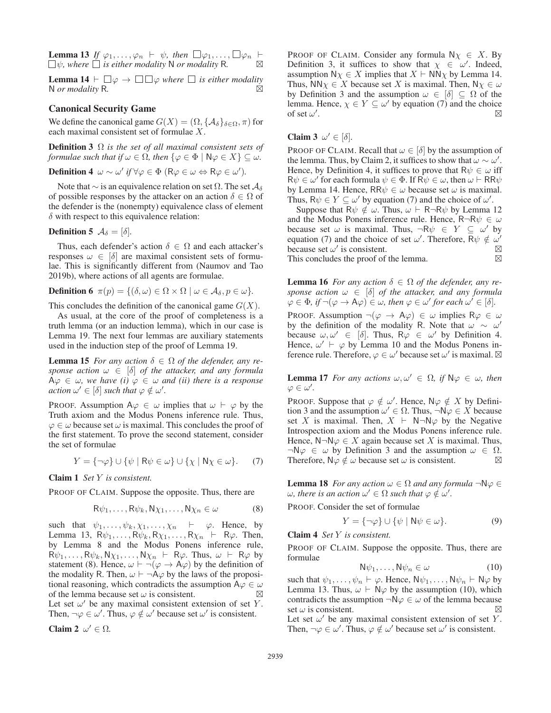**Lemma 13** If  $\varphi_1, \ldots, \varphi_n \vdash \psi$ , then  $\Box \varphi_1, \ldots, \Box \varphi_n \vdash$  $\Box \psi$ *, where*  $\Box$  *is either modality* N *or modality* R.

**Lemma 14**  $\vdash \Box \varphi \rightarrow \Box \Box \varphi$  where  $\Box$  is either modality N *or modality* R*.*

# Canonical Security Game

We define the canonical game  $G(X) = (\Omega, {\{\mathcal{A}_{\delta}\}}_{\delta \in \Omega}, \pi)$  for each maximal consistent set of formulae X.

Definition 3 Ω *is the set of all maximal consistent sets of formulae such that if*  $\omega \in \Omega$ *, then*  $\{\varphi \in \Phi \mid \mathsf{N}\varphi \in X\} \subseteq \omega$ *.* 

Definition 4  $\omega \sim \omega'$  *if*  $\forall \varphi \in \Phi$  (R $\varphi \in \omega \Leftrightarrow R\varphi \in \omega'$ ).

Note that  $\sim$  is an equivalence relation on set  $\Omega$ . The set  $\mathcal{A}_{\delta}$ of possible responses by the attacker on an action  $\delta \in \Omega$  of the defender is the (nonempty) equivalence class of element  $\delta$  with respect to this equivalence relation:

#### **Definition 5**  $\mathcal{A}_{\delta} = [\delta]$ .

Thus, each defender's action  $\delta \in \Omega$  and each attacker's responses  $\omega \in [\delta]$  are maximal consistent sets of formulae. This is significantly different from (Naumov and Tao 2019b), where actions of all agents are formulae.

**Definition 6** 
$$
\pi(p) = \{(\delta, \omega) \in \Omega \times \Omega \mid \omega \in A_{\delta}, p \in \omega\}.
$$

This concludes the definition of the canonical game  $G(X)$ .

As usual, at the core of the proof of completeness is a truth lemma (or an induction lemma), which in our case is Lemma 19. The next four lemmas are auxiliary statements used in the induction step of the proof of Lemma 19.

**Lemma 15** *For any action*  $\delta \in \Omega$  *of the defender, any response action*  $\omega \in [\delta]$  *of the attacker, and any formula*  $A\varphi \in \omega$ , we have (i)  $\varphi \in \omega$  and (ii) there is a response  $\alpha$ *action*  $\omega' \in [\delta]$  *such that*  $\varphi \notin \omega'.$ 

PROOF. Assumption  $A\varphi \in \omega$  implies that  $\omega \vdash \varphi$  by the Truth axiom and the Modus Ponens inference rule. Thus,  $\varphi \in \omega$  because set  $\omega$  is maximal. This concludes the proof of the first statement. To prove the second statement, consider the set of formulae

$$
Y = \{\neg \varphi\} \cup \{\psi \mid \mathsf{R}\psi \in \omega\} \cup \{\chi \mid \mathsf{N}\chi \in \omega\}. \tag{7}
$$

Claim 1 *Set* Y *is consistent.*

PROOF OF CLAIM. Suppose the opposite. Thus, there are

$$
\mathsf{R}\psi_1,\ldots,\mathsf{R}\psi_k,\mathsf{N}\chi_1,\ldots,\mathsf{N}\chi_n\in\omega\tag{8}
$$

such that  $\psi_1, \ldots, \psi_k, \chi_1, \ldots, \chi_n$   $\vdash \varphi$ . Hence, by Lemma 13,  $\overrightarrow{R}\psi_1, \ldots, \overrightarrow{R}\psi_k, \overrightarrow{R}\chi_1, \ldots, \overrightarrow{R}\chi_n$   $\vdash$   $\overrightarrow{R}\varphi$ . Then, by Lemma 8 and the Modus Ponens inference rule,  $\mathsf{R}\psi_1,\ldots,\mathsf{R}\psi_k,\mathsf{N}\chi_1,\ldots,\mathsf{N}\chi_n$   $\vdash$  R $\varphi$ . Thus,  $\omega$   $\vdash$  R $\varphi$  by statement (8). Hence,  $\omega \vdash \neg(\varphi \rightarrow A\varphi)$  by the definition of the modality R. Then,  $\omega \vdash \neg \overrightarrow{A} \varphi$  by the laws of the propositional reasoning, which contradicts the assumption  $A\varphi \in \omega$  of the lemma because set  $\omega$  is consistent. of the lemma because set  $\omega$  is consistent. Let set  $\omega'$  be any maximal consistent extension of set Y. Then,  $\neg \varphi \in \omega'$ . Thus,  $\varphi \notin \omega'$  because set  $\omega'$  is consistent.

$$
Claim\ 2\ \omega'\in\Omega.
$$

PROOF OF CLAIM. Consider any formula  $N_X \in X$ . By Definition 3, it suffices to show that  $\chi \in \omega'$ . Indeed, assumption  $N\chi \in X$  implies that  $X \vdash N\hat{N}\chi$  by Lemma 14. Thus,  $NN\chi \in X$  because set X is maximal. Then,  $N\chi \in \omega$ by Definition 3 and the assumption  $\omega \in [\delta] \subseteq \Omega$  of the lemma. Hence,  $\chi \in Y \subseteq \omega'$  by equation (7) and the choice of set  $\omega'$ . .  $\boxtimes$ 

Claim 3  $\omega' \in [\delta]$ .

PROOF OF CLAIM. Recall that  $\omega \in [\delta]$  by the assumption of the lemma. Thus, by Claim 2, it suffices to show that  $\omega \sim \omega'$ . Hence, by Definition 4, it suffices to prove that  $R\psi \in \omega$  iff  $R\psi \in \omega'$  for each formula  $\psi \in \Phi$ . If  $\mathsf{R}\psi \in \omega$ , then  $\omega \vdash \mathsf{RR}\psi$ by Lemma 14. Hence,  $RR\psi \in \omega$  because set  $\omega$  is maximal. Thus,  $R\psi \in Y \subseteq \omega'$  by equation (7) and the choice of  $\omega'$ .

Suppose that  $\overline{R}\psi \notin \omega$ . Thus,  $\omega \vdash R\neg R\psi$  by Lemma 12 and the Modus Ponens inference rule. Hence,  $R\neg R\psi \in \omega$ because set  $\omega$  is maximal. Thus,  $\neg R\psi \in Y \subseteq \omega'$  by equation (7) and the choice of set  $\omega'$ . Therefore,  $\overline{R}\psi \notin \omega'$ because set  $\omega'$  is consistent.  $\boxtimes$ <br>This concludes the proof of the lemma.  $\boxtimes$ This concludes the proof of the lemma.

**Lemma 16** *For any action*  $\delta \in \Omega$  *of the defender, any response action*  $\omega \in [\delta]$  *of the attacker, and any formula*  $\varphi \in \Phi$ , if  $\neg(\varphi \to A\varphi) \in \omega$ , then  $\varphi \in \omega'$  for each  $\omega' \in [\delta]$ .

PROOF. Assumption  $\neg(\varphi \rightarrow A\varphi) \in \omega$  implies  $R\varphi \in \omega$ by the definition of the modality R. Note that  $\omega \sim \omega'$ because  $\omega, \omega' \in [\delta]$ . Thus,  $R\varphi \in \omega'$  by Definition 4. Hence,  $\omega' \vdash \varphi$  by Lemma 10 and the Modus Ponens inference rule. Therefore,  $\varphi \in \omega'$  because set  $\omega'$  is maximal.  $\boxtimes$ 

**Lemma 17** *For any actions*  $\omega, \omega' \in \Omega$ , if  $\mathbb{N}\varphi \in \omega$ , then  $\varphi \in \omega'.$ 

PROOF. Suppose that  $\varphi \notin \omega'$ . Hence,  $\mathsf{N}\varphi \notin X$  by Definition 3 and the assumption  $\omega' \in \Omega$ . Thus,  $\neg N\varphi \in X$  because set X is maximal. Then,  $X \vdash N \neg N\varphi$  by the Negative Introspection axiom and the Modus Ponens inference rule. Hence,  $N \neg N\varphi \in X$  again because set X is maximal. Thus,  $\neg \mathsf{N}\varphi \in \omega$  by Definition 3 and the assumption  $\omega \in \Omega$ .<br>Therefore,  $\mathsf{N}\varphi \notin \omega$  because set  $\omega$  is consistent. Therefore,  $\mathsf{N}\varphi \notin \omega$  because set  $\omega$  is consistent.

**Lemma 18** *For any action*  $\omega \in \Omega$  *and any formula*  $\neg N\varphi \in \Omega$  $\omega$ , there is an action  $\omega' \in \Omega$  such that  $\varphi \notin \omega'.$ 

PROOF. Consider the set of formulae

$$
Y = \{\neg \varphi\} \cup \{\psi \mid \mathsf{N}\psi \in \omega\}.
$$
 (9)

Claim 4 *Set* Y *is consistent.*

PROOF OF CLAIM. Suppose the opposite. Thus, there are formulae

$$
\mathsf{N}\psi_1,\ldots,\mathsf{N}\psi_n\in\omega\tag{10}
$$

such that  $\psi_1, \dots, \psi_n \vdash \varphi$ . Hence,  $N\psi_1, \dots, N\psi_n \vdash N\varphi$  by Lemma 13. Thus,  $\omega \vdash \mathsf{N}\varphi$  by the assumption (10), which contradicts the assumption  $\neg N\varphi \in \omega$  of the lemma because set  $\omega$  is consistent. Let set  $\omega'$  be any maximal consistent extension of set Y.

Then,  $\neg \varphi \in \omega'$ . Thus,  $\varphi \notin \omega'$  because set  $\omega'$  is consistent.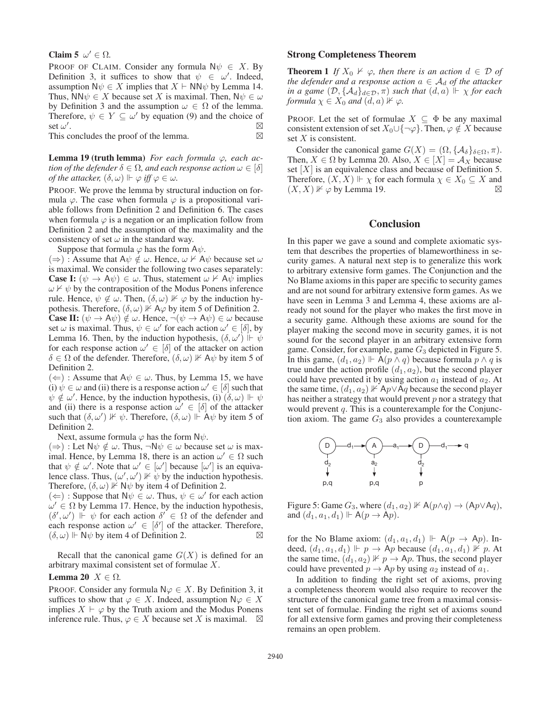#### Claim 5  $\omega' \in \Omega$ .

PROOF OF CLAIM. Consider any formula  $N\psi \in X$ . By Definition 3, it suffices to show that  $\psi \in [\omega']$ . Indeed, assumption  $N\psi \in X$  implies that  $X \vdash N\mathsf{N}\psi$  by Lemma 14. Thus,  $NN\psi \in X$  because set X is maximal. Then,  $N\psi \in \omega$ by Definition 3 and the assumption  $\omega \in \Omega$  of the lemma. Therefore,  $\psi \in Y \subseteq \omega'$  by equation (9) and the choice of set  $\omega'$ . .

This concludes the proof of the lemma.  $\boxtimes$ 

Lemma 19 (truth lemma) *For each formula* ϕ*, each action of the defender*  $\delta \in \Omega$ *, and each response action*  $\omega \in [\delta]$ *of the attacker,*  $(\delta, \omega) \Vdash \varphi$  *iff*  $\varphi \in \omega$ .

PROOF. We prove the lemma by structural induction on formula  $\varphi$ . The case when formula  $\varphi$  is a propositional variable follows from Definition 2 and Definition 6. The cases when formula  $\varphi$  is a negation or an implication follow from Definition 2 and the assumption of the maximality and the consistency of set  $\omega$  in the standard way.

Suppose that formula  $\varphi$  has the form  $A\psi$ .

 $(\Rightarrow)$ : Assume that  $A\psi \notin \omega$ . Hence,  $\omega \nvdash A\psi$  because set  $\omega$ is maximal. We consider the following two cases separately: **Case I:**  $(\psi \to A\psi) \in \omega$ . Thus, statement  $\omega \nvdash A\psi$  implies  $\omega \nvDash \psi$  by the contraposition of the Modus Ponens inference rule. Hence,  $\psi \notin \omega$ . Then,  $(\delta, \omega) \nVdash \varphi$  by the induction hypothesis. Therefore,  $(\delta, \omega)$   $\Vdash A\varphi$  by item 5 of Definition 2. **Case II:**  $(\psi \rightarrow A\psi) \notin \omega$ . Hence,  $\neg(\psi \rightarrow A\psi) \in \omega$  because set  $\omega$  is maximal. Thus,  $\psi \in \omega'$  for each action  $\omega' \in [\delta]$ , by Lemma 16. Then, by the induction hypothesis,  $(\delta, \omega') \Vdash \psi$ for each response action  $\omega' \in [\delta]$  of the attacker on action  $\delta \in \Omega$  of the defender. Therefore,  $(\delta, \omega)$   $\nVdash A\psi$  by item 5 of Definition 2.

 $(\Leftarrow)$ : Assume that  $A\psi \in \omega$ . Thus, by Lemma 15, we have (i)  $\psi \in \omega$  and (ii) there is a response action  $\omega' \in [\delta]$  such that  $\psi \notin \omega'$ . Hence, by the induction hypothesis, (i)  $(\delta, \omega) \Vdash \psi$ and (ii) there is a response action  $\omega' \in [\delta]$  of the attacker such that  $(\delta, \omega') \nVdash \psi$ . Therefore,  $(\delta, \omega) \Vdash \mathsf{A}\psi$  by item 5 of Definition 2.

Next, assume formula  $\varphi$  has the form N $\psi$ .

 $(\Rightarrow)$ : Let N $\psi \notin \omega$ . Thus,  $\neg N\psi \in \omega$  because set  $\omega$  is maximal. Hence, by Lemma 18, there is an action  $\omega' \in \Omega$  such that  $\psi \notin \omega'$ . Note that  $\omega' \in [\omega']$  because  $[\omega']$  is an equivalence class. Thus,  $(\omega', \omega') \nVdash \psi$  by the induction hypothesis. Therefore,  $(\delta, \omega)$   $\mathbb{R}$  N $\psi$  by item 4 of Definition 2.

 $(\Leftarrow)$ : Suppose that  $\mathbb{N}\psi \in \omega$ . Thus,  $\psi \in \omega'$  for each action  $\omega' \in \Omega$  by Lemma 17. Hence, by the induction hypothesis,  $(\delta', \omega')$  I  $\psi$  for each action  $\delta' \in \Omega$  of the defender and each response action  $\omega' \in [\delta']$  of the attacker. Therefore,  $(\delta, \omega)$   $\Vdash \mathbb{N}\psi$  by item 4 of Definition 2.

Recall that the canonical game  $G(X)$  is defined for an arbitrary maximal consistent set of formulae X.

#### Lemma 20  $X \in \Omega$ .

PROOF. Consider any formula  $\mathsf{N}\varphi \in X$ . By Definition 3, it suffices to show that  $\varphi \in X$ . Indeed, assumption  $\mathsf{N}\varphi \in X$ implies  $X \vdash \varphi$  by the Truth axiom and the Modus Ponens inference rule. Thus,  $\varphi \in X$  because set X is maximal.  $\boxtimes$ 

#### Strong Completeness Theorem

**Theorem 1** *If*  $X_0 \nvDash \varphi$ , then there is an action  $d \in \mathcal{D}$  of *the defender and a response action*  $a \in A_d$  *of the attacker in a game*  $(D, \{A_d\}_{d \in \mathcal{D}}, \pi)$  *such that*  $(d, a)$   $\Vdash \chi$  *for each formula*  $\chi \in X_0$  *and*  $(d, a)$   $\nvdash \varphi$ .

PROOF. Let the set of formulae  $X \subseteq \Phi$  be any maximal consistent extension of set  $X_0 \cup \{\neg \varphi\}$ . Then,  $\varphi \notin X$  because set  $X$  is consistent.

Consider the canonical game  $G(X) = (\Omega, {\{\mathcal{A}_{\delta}\}}_{\delta \in \Omega}, \pi)$ . Then,  $X \in \Omega$  by Lemma 20. Also,  $X \in [X] = \mathcal{A}_X$  because set  $[X]$  is an equivalence class and because of Definition 5. Therefore,  $(X, X) \Vdash \chi$  for each formula  $\chi \in X_0 \subseteq X$  and  $(X, X)$   $\nvdash \varphi$  by Lemma 19.

## **Conclusion**

In this paper we gave a sound and complete axiomatic system that describes the properties of blameworthiness in security games. A natural next step is to generalize this work to arbitrary extensive form games. The Conjunction and the No Blame axioms in this paper are specific to security games and are not sound for arbitrary extensive form games. As we have seen in Lemma 3 and Lemma 4, these axioms are already not sound for the player who makes the first move in a security game. Although these axioms are sound for the player making the second move in security games, it is not sound for the second player in an arbitrary extensive form game. Consider, for example, game  $G_3$  depicted in Figure 5. In this game,  $(d_1, a_2) \Vdash A(p \wedge q)$  because formula  $p \wedge q$  is true under the action profile  $(d_1, a_2)$ , but the second player could have prevented it by using action  $a_1$  instead of  $a_2$ . At the same time,  $(d_1, a_2)$   $\nvdash$  Ap∨Aq because the second player has neither a strategy that would prevent  $p$  nor a strategy that would prevent  $q$ . This is a counterexample for the Conjunction axiom. The game  $G_3$  also provides a counterexample



Figure 5: Game  $G_3$ , where  $(d_1, a_2)$   $\nvdash A(p \land q) \rightarrow (Ap \lor Aq)$ , and  $(d_1, a_1, d_1) \Vdash A(p \to Ap)$ .

for the No Blame axiom:  $(d_1, a_1, d_1) \Vdash A(p \rightarrow Ap)$ . Indeed,  $(d_1, a_1, d_1) \Vdash p \rightarrow \overrightarrow{Ap}$  because  $(d_1, a_1, d_1) \nvDash p$ . At the same time,  $(d_1, a_2) \nVdash p \to Ap$ . Thus, the second player could have prevented  $p \rightarrow Ap$  by using  $a_2$  instead of  $a_1$ .

In addition to finding the right set of axioms, proving a completeness theorem would also require to recover the structure of the canonical game tree from a maximal consistent set of formulae. Finding the right set of axioms sound for all extensive form games and proving their completeness remains an open problem.